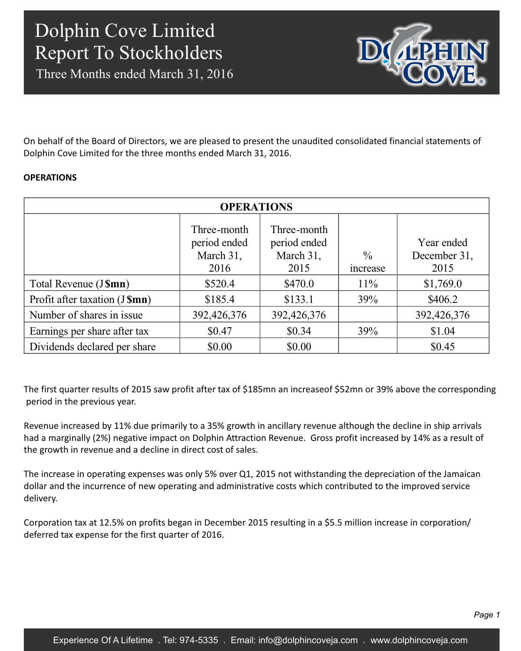Three Months ended March 31, 2016



On behalf of the Board of Directors, we are pleased to present the unaudited consolidated financial statements of Dolphin Cove Limited for the three months ended March 31, 2016.

### **OPERATIONS**

| <b>OPERATIONS</b>              |                                                  |                                                  |                                 |                                    |  |  |
|--------------------------------|--------------------------------------------------|--------------------------------------------------|---------------------------------|------------------------------------|--|--|
|                                | Three-month<br>period ended<br>March 31,<br>2016 | Three-month<br>period ended<br>March 31,<br>2015 | $\frac{0}{0}$<br><i>ncrease</i> | Year ended<br>December 31,<br>2015 |  |  |
| Total Revenue (J\$mn)          | \$520.4                                          | \$470.0                                          | $11\%$                          | \$1,769.0                          |  |  |
| Profit after taxation (J \$mn) | \$185.4                                          | \$133.1                                          | 39%                             | \$406.2                            |  |  |
| Number of shares in issue      | 392,426,376                                      | 392,426,376                                      |                                 | 392,426,376                        |  |  |
| Earnings per share after tax   | \$0.47                                           | \$0.34                                           | 39%                             | \$1.04                             |  |  |
| Dividends declared per share   | \$0.00                                           | \$0.00                                           |                                 | \$0.45                             |  |  |

The first quarter results of 2015 saw profit after tax of \$185mn an increaseof \$52mn or 39% above the corresponding period in the previous year.

Revenue increased by 11% due primarily to a 35% growth in ancillary revenue although the decline in ship arrivals had a marginally (2%) negative impact on Dolphin Attraction Revenue. Gross profit increased by 14% as a result of the growth in revenue and a decline in direct cost of sales.

The increase in operating expenses was only 5% over Q1, 2015 not withstanding the depreciation of the Jamaican dollar and the incurrence of new operating and administrative costs which contributed to the improved service delivery.

Corporation tax at 12.5% on profits began in December 2015 resulting in a \$5.5 million increase in corporation/ deferred tax expense for the first quarter of 2016.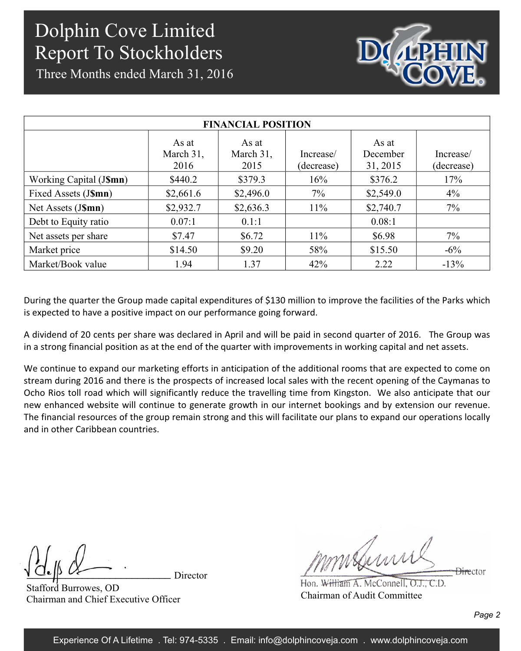Three Months ended March 31, 2016



| <b>FINANCIAL POSITION</b> |                            |                            |                         |                               |                         |  |  |  |
|---------------------------|----------------------------|----------------------------|-------------------------|-------------------------------|-------------------------|--|--|--|
|                           | As at<br>March 31,<br>2016 | As at<br>March 31,<br>2015 | Increase/<br>(decrease) | As at<br>December<br>31, 2015 | Increase/<br>(decrease) |  |  |  |
| Working Capital (J\$mn)   | \$440.2                    | \$379.3                    | 16%                     | \$376.2                       | 17%                     |  |  |  |
| Fixed Assets (J\$mn)      | \$2,661.6                  | \$2,496.0                  | $7\%$                   | \$2,549.0                     | $4\%$                   |  |  |  |
| Net Assets (J\$mn)        | \$2,932.7                  | \$2,636.3                  | $11\%$                  | \$2,740.7                     | $7\%$                   |  |  |  |
| Debt to Equity ratio      | 0.07:1                     | 0.1:1                      |                         | 0.08:1                        |                         |  |  |  |
| Net assets per share      | \$7.47                     | \$6.72                     | $11\%$                  | \$6.98                        | 7%                      |  |  |  |
| Market price              | \$14.50                    | \$9.20                     | 58%                     | \$15.50                       | $-6\%$                  |  |  |  |
| Market/Book value         | 1.94                       | 1.37                       | 42%                     | 2.22                          | $-13%$                  |  |  |  |

During the quarter the Group made capital expenditures of \$130 million to improve the facilities of the Parks which is expected to have a positive impact on our performance going forward.

A dividend of 20 cents per share was declared in April and will be paid in second quarter of 2016. The Group was in a strong financial position as at the end of the quarter with improvements in working capital and net assets.

We continue to expand our marketing efforts in anticipation of the additional rooms that are expected to come on stream during 2016 and there is the prospects of increased local sales with the recent opening of the Caymanas to Ocho Rios toll road which will significantly reduce the travelling time from Kingston. We also anticipate that our new enhanced website will continue to generate growth in our internet bookings and by extension our revenue. The financial resources of the group remain strong and this will facilitate our plans to expand our operations locally and in other Caribbean countries.

Stafford Burrowes, OD Chairman and Chief Executive Officer

mmsbuns <del>Dire</del>ctor

Hon. William A. McConnell, O.J., C.D. Chairman of Audit Committee

Director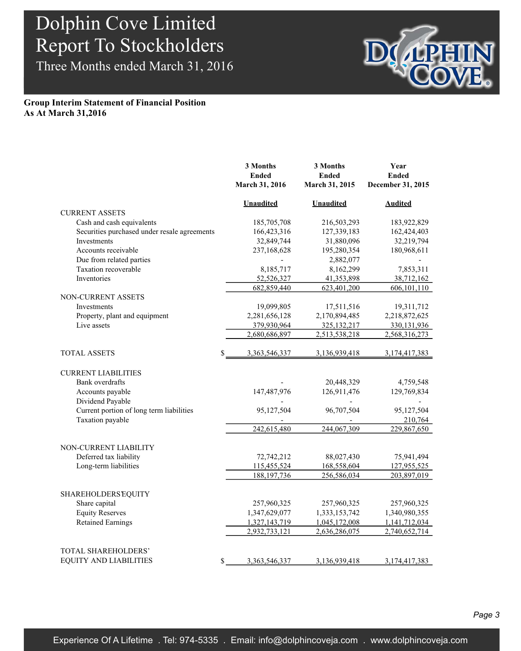Three Months ended March 31, 2016



### **Group Interim Statement of Financial Position As At March 31,2016**

|                                              | 3 Months<br><b>Ended</b><br>March 31, 2016 | 3 Months<br><b>Ended</b><br>March 31, 2015 | Year<br><b>Ended</b><br>December 31, 2015 |
|----------------------------------------------|--------------------------------------------|--------------------------------------------|-------------------------------------------|
|                                              | <b>Unaudited</b>                           | <b>Unaudited</b>                           | <b>Audited</b>                            |
| <b>CURRENT ASSETS</b>                        |                                            |                                            |                                           |
| Cash and cash equivalents                    | 185,705,708                                | 216,503,293                                | 183,922,829                               |
| Securities purchased under resale agreements | 166,423,316                                | 127,339,183                                | 162,424,403                               |
| <b>Investments</b>                           | 32,849,744                                 | 31,880,096                                 | 32,219,794                                |
| Accounts receivable                          | 237,168,628                                | 195,280,354                                | 180,968,611                               |
| Due from related parties                     |                                            | 2,882,077                                  |                                           |
| Taxation recoverable                         | 8,185,717                                  | 8,162,299                                  | 7,853,311                                 |
| <b>Inventories</b>                           | 52,526,327                                 | 41,353,898                                 | 38,712,162                                |
|                                              | 682,859,440                                | 623,401,200                                | 606,101,110                               |
| NON-CURRENT ASSETS                           |                                            |                                            |                                           |
| Investments                                  | 19,099,805                                 | 17,511,516                                 | 19,311,712                                |
| Property, plant and equipment                | 2,281,656,128                              | 2,170,894,485                              | 2,218,872,625                             |
| Live assets                                  | 379,930,964                                | 325, 132, 217                              | 330,131,936                               |
|                                              | 2,680,686,897                              | 2,513,538,218                              | 2,568,316,273                             |
| <b>TOTAL ASSETS</b><br>\$                    | 3,363,546,337                              | 3,136,939,418                              | 3,174,417,383                             |
| <b>CURRENT LIABILITIES</b>                   |                                            |                                            |                                           |
| Bank overdrafts                              |                                            | 20,448,329                                 | 4,759,548                                 |
| Accounts payable                             | 147,487,976                                | 126,911,476                                | 129,769,834                               |
| Dividend Payable                             |                                            |                                            |                                           |
| Current portion of long term liabilities     | 95,127,504                                 | 96,707,504                                 | 95,127,504                                |
| Taxation payable                             |                                            |                                            | 210,764                                   |
|                                              | 242,615,480                                | 244,067,309                                | 229,867,650                               |
| NON-CURRENT LIABILITY                        |                                            |                                            |                                           |
| Deferred tax liability                       | 72,742,212                                 | 88,027,430                                 | 75,941,494                                |
| Long-term liabilities                        | 115,455,524                                | 168,558,604                                | 127,955,525                               |
|                                              | 188, 197, 736                              | 256,586,034                                | 203,897,019                               |
|                                              |                                            |                                            |                                           |
| <b>SHAREHOLDERS EQUITY</b>                   |                                            |                                            |                                           |
| Share capital                                | 257,960,325                                | 257,960,325                                | 257,960,325                               |
| <b>Equity Reserves</b>                       | 1,347,629,077                              | 1,333,153,742                              | 1,340,980,355                             |
| <b>Retained Earnings</b>                     | 1,327,143,719                              | 1,045,172,008                              | 1,141,712,034                             |
|                                              | 2,932,733,121                              | 2,636,286,075                              | 2,740,652,714                             |
| TOTAL SHAREHOLDERS'                          |                                            |                                            |                                           |
| EQUITY AND LIABILITIES<br>\$                 | 3,363,546,337                              | 3,136,939,418                              | 3,174,417,383                             |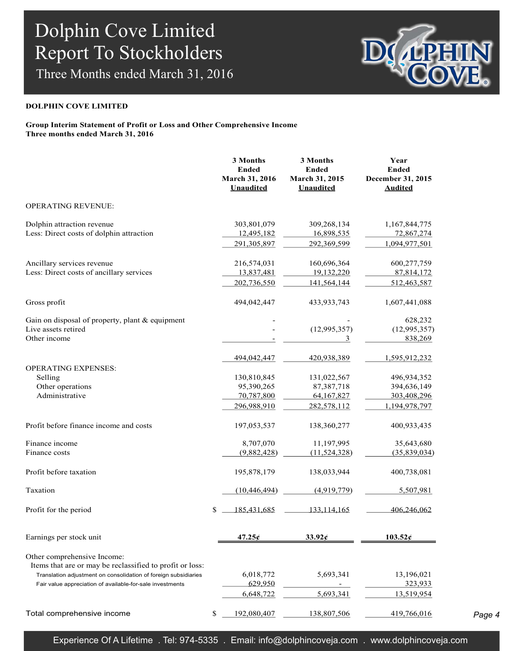Three Months ended March 31, 2016



#### **DOLPHIN COVE LIMITED**

### **Group Interim Statement of Profit or Loss and Other Comprehensive Income Three months ended March 31, 2016**

|                                                                                                                                                                                                                         | 3 Months<br><b>Ended</b><br>March 31, 2016<br><b>Unaudited</b>        | 3 Months<br><b>Ended</b><br>March 31, 2015<br><b>Unaudited</b>        | Year<br><b>Ended</b><br>December 31, 2015<br><b>Audited</b>                 |
|-------------------------------------------------------------------------------------------------------------------------------------------------------------------------------------------------------------------------|-----------------------------------------------------------------------|-----------------------------------------------------------------------|-----------------------------------------------------------------------------|
| OPERATING REVENUE:                                                                                                                                                                                                      |                                                                       |                                                                       |                                                                             |
| Dolphin attraction revenue<br>Less: Direct costs of dolphin attraction                                                                                                                                                  | 303,801,079<br>12,495,182                                             | 309,268,134<br>16,898,535                                             | 1,167,844,775<br>72,867,274                                                 |
|                                                                                                                                                                                                                         | 291, 305, 897                                                         | 292,369,599                                                           | 1,094,977,501                                                               |
| Ancillary services revenue<br>Less: Direct costs of ancillary services                                                                                                                                                  | 216,574,031<br>13,837,481<br>202,736,550                              | 160,696,364<br>19,132,220<br>141,564,144                              | 600,277,759<br>87,814,172<br>512,463,587                                    |
| Gross profit                                                                                                                                                                                                            | 494,042,447                                                           | 433,933,743                                                           | 1,607,441,088                                                               |
| Gain on disposal of property, plant & equipment<br>Live assets retired<br>Other income                                                                                                                                  |                                                                       | (12, 995, 357)<br>3                                                   | 628,232<br>(12, 995, 357)<br>838,269                                        |
| <b>OPERATING EXPENSES:</b><br>Selling<br>Other operations<br>Administrative                                                                                                                                             | 494,042,447<br>130,810,845<br>95,390,265<br>70,787,800<br>296,988,910 | 420,938,389<br>131,022,567<br>87,387,718<br>64,167,827<br>282,578,112 | 1,595,912,232<br>496,934,352<br>394,636,149<br>303,408,296<br>1,194,978,797 |
| Profit before finance income and costs                                                                                                                                                                                  | 197,053,537                                                           | 138,360,277                                                           | 400,933,435                                                                 |
| Finance income<br>Finance costs                                                                                                                                                                                         | 8,707,070<br>(9,882,428)                                              | 11,197,995<br>(11, 524, 328)                                          | 35,643,680<br>(35,839,034)                                                  |
| Profit before taxation                                                                                                                                                                                                  | 195,878,179                                                           | 138,033,944                                                           | 400,738,081                                                                 |
| Taxation                                                                                                                                                                                                                | (10, 446, 494)                                                        | (4,919,779)                                                           | 5,507,981                                                                   |
| Profit for the period                                                                                                                                                                                                   | \$<br>185,431,685                                                     | 133,114,165                                                           | 406,246,062                                                                 |
| Earnings per stock unit                                                                                                                                                                                                 | 47.25c                                                                | 33.92c                                                                | 103.52c                                                                     |
| Other comprehensive Income:<br>Items that are or may be reclassified to profit or loss:<br>Translation adjustment on consolidation of foreign subsidiaries<br>Fair value appreciation of available-for-sale investments | 6,018,772<br>629.950<br>6,648,722                                     | 5,693,341<br>5,693,341                                                | 13,196,021<br>323,933<br>13,519,954                                         |
| Total comprehensive income                                                                                                                                                                                              | \$<br>192,080,407                                                     | 138,807,506                                                           | 419,766,016                                                                 |

*Page 4*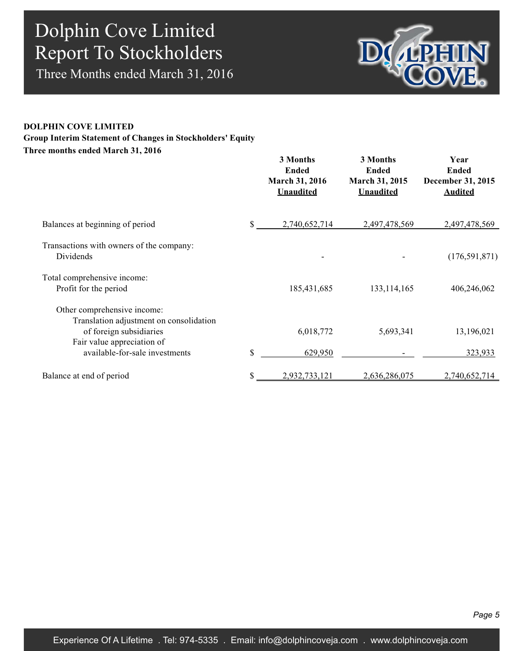Three Months ended March 31, 2016



## **DOLPHIN COVE LIMITED Three months ended March 31, 2016 Group Interim Statement of Changes in Stockholders' Equity**

|                                                                                                   | 3 Months<br><b>Ended</b><br>March 31, 2016<br><b>Unaudited</b> | 3 Months<br><b>Ended</b><br>March 31, 2015<br><b>Unaudited</b> | Year<br><b>Ended</b><br>December 31, 2015<br><b>Audited</b> |
|---------------------------------------------------------------------------------------------------|----------------------------------------------------------------|----------------------------------------------------------------|-------------------------------------------------------------|
| Balances at beginning of period                                                                   | 2,740,652,714                                                  | 2,497,478,569                                                  | 2,497,478,569                                               |
| Transactions with owners of the company:<br>Dividends                                             | $\overline{\phantom{a}}$                                       |                                                                | (176, 591, 871)                                             |
| Total comprehensive income:<br>Profit for the period                                              | 185,431,685                                                    | 133, 114, 165                                                  | 406,246,062                                                 |
| Other comprehensive income:<br>Translation adjustment on consolidation<br>of foreign subsidiaries | 6,018,772                                                      | 5,693,341                                                      | 13,196,021                                                  |
| Fair value appreciation of<br>available-for-sale investments                                      | \$<br>629,950                                                  |                                                                | 323,933                                                     |
| Balance at end of period                                                                          | 2,932,733,121                                                  | 2,636,286,075                                                  | 2,740,652,714                                               |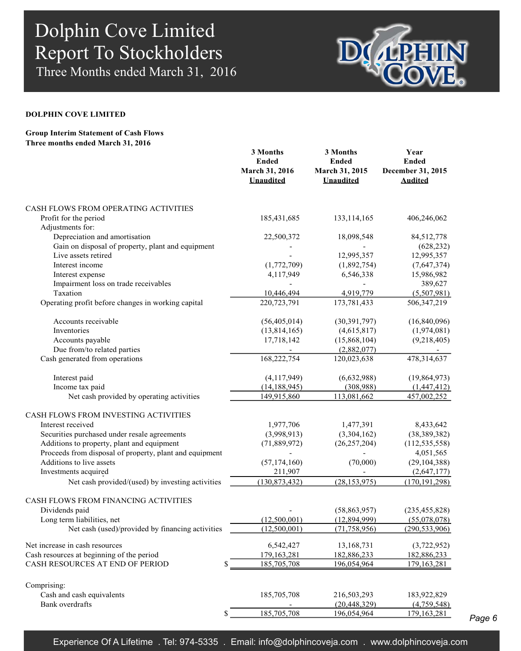Three Months ended March 31, 2016



#### **DOLPHIN COVE LIMITED**

### **Group Interim Statement of Cash Flows Three months ended March 31, 2016**

|                                                         | 3 Months<br><b>Ended</b><br>March 31, 2016<br><b>Unaudited</b> | 3 Months<br><b>Ended</b><br>March 31, 2015<br><b>Unaudited</b> | Year<br><b>Ended</b><br>December 31, 2015<br><b>Audited</b> |
|---------------------------------------------------------|----------------------------------------------------------------|----------------------------------------------------------------|-------------------------------------------------------------|
| CASH FLOWS FROM OPERATING ACTIVITIES                    |                                                                |                                                                |                                                             |
| Profit for the period                                   | 185,431,685                                                    | 133, 114, 165                                                  | 406,246,062                                                 |
| Adjustments for:                                        |                                                                |                                                                |                                                             |
| Depreciation and amortisation                           | 22,500,372                                                     | 18,098,548                                                     | 84,512,778                                                  |
| Gain on disposal of property, plant and equipment       |                                                                |                                                                | (628, 232)                                                  |
| Live assets retired                                     |                                                                | 12,995,357                                                     | 12,995,357                                                  |
| Interest income                                         | (1,772,709)                                                    | (1,892,754)                                                    | (7,647,374)                                                 |
| Interest expense                                        | 4,117,949                                                      | 6,546,338                                                      | 15,986,982                                                  |
| Impairment loss on trade receivables                    |                                                                |                                                                | 389,627                                                     |
| Taxation                                                | 10,446,494                                                     | 4,919,779                                                      | (5,507,981)                                                 |
| Operating profit before changes in working capital      | 220,723,791                                                    | 173,781,433                                                    | 506, 347, 219                                               |
| Accounts receivable                                     | (56, 405, 014)                                                 | (30, 391, 797)                                                 | (16,840,096)                                                |
| Inventories                                             | (13,814,165)                                                   | (4,615,817)                                                    | (1,974,081)                                                 |
| Accounts payable                                        | 17,718,142                                                     | (15,868,104)                                                   | (9,218,405)                                                 |
| Due from/to related parties                             |                                                                | (2,882,077)                                                    |                                                             |
| Cash generated from operations                          | 168,222,754                                                    | 120,023,638                                                    | 478,314,637                                                 |
| Interest paid                                           | (4, 117, 949)                                                  | (6,632,988)                                                    | (19,864,973)                                                |
| Income tax paid                                         | (14, 188, 945)                                                 | (308,988)                                                      | (1,447,412)                                                 |
| Net cash provided by operating activities               | 149,915,860                                                    | 113,081,662                                                    | 457,002,252                                                 |
| CASH FLOWS FROM INVESTING ACTIVITIES                    |                                                                |                                                                |                                                             |
| Interest received                                       | 1,977,706                                                      | 1,477,391                                                      | 8,433,642                                                   |
| Securities purchased under resale agreements            | (3,998,913)                                                    | (3,304,162)                                                    | (38, 389, 382)                                              |
| Additions to property, plant and equipment              | (71,889,972)                                                   | (26, 257, 204)                                                 | (112, 535, 558)                                             |
| Proceeds from disposal of property, plant and equipment |                                                                |                                                                | 4,051,565                                                   |
| Additions to live assets                                | (57, 174, 160)                                                 | (70,000)                                                       | (29, 104, 388)                                              |
| Investments acquired                                    | 211,907                                                        |                                                                | (2,647,177)                                                 |
| Net cash provided/(used) by investing activities        | (130, 873, 432)                                                | (28, 153, 975)                                                 | (170, 191, 298)                                             |
| CASH FLOWS FROM FINANCING ACTIVITIES                    |                                                                |                                                                |                                                             |
| Dividends paid                                          |                                                                | (58, 863, 957)                                                 | (235, 455, 828)                                             |
| Long term liabilities, net                              | (12,500,001)                                                   | (12,894,999)                                                   | (55,078,078)                                                |
| Net cash (used)/provided by financing activities        | (12,500,001)                                                   | (71, 758, 956)                                                 | (290, 533, 906)                                             |
| Net increase in cash resources                          | 6,542,427                                                      | 13,168,731                                                     | (3,722,952)                                                 |
| Cash resources at beginning of the period               | 179, 163, 281                                                  | 182,886,233                                                    | 182,886,233                                                 |
| CASH RESOURCES AT END OF PERIOD<br>\$                   | 185,705,708                                                    | 196,054,964                                                    | 179, 163, 281                                               |
| Comprising:                                             |                                                                |                                                                |                                                             |
| Cash and cash equivalents                               | 185,705,708                                                    | 216,503,293                                                    | 183,922,829                                                 |
| <b>Bank</b> overdrafts                                  |                                                                | (20, 448, 329)                                                 | (4,759,548)                                                 |
| \$                                                      | 185,705,708                                                    | 196,054,964                                                    | 179, 163, 281                                               |

*Page 6*

Experience Of A Lifetime . Tel: 974-5335 . Email: info@dolphincoveja.com . www.dolphincoveja.com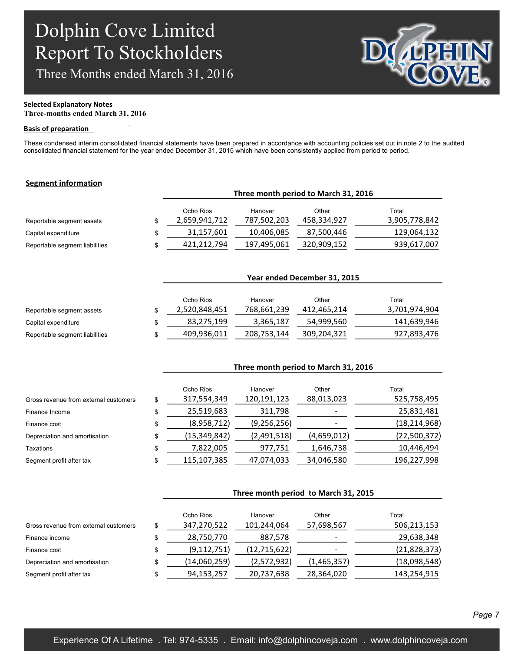Three Months ended March 31, 2016

.



## **Selected Explanatory Notes**

**Three-months ended March 31, 2016** .

### **Basis of preparation**

These condensed interim consolidated financial statements have been prepared in accordance with accounting policies set out in note 2 to the audited consolidated financial statement for the year ended December 31, 2015 which have been consistently applied from period to period.

### **Segment information**

|                                | Three month period to March 31, 2016 |                        |                      |                        |  |
|--------------------------------|--------------------------------------|------------------------|----------------------|------------------------|--|
| Reportable segment assets      | Ocho Rios<br>2,659,941,712           | Hanover<br>787,502,203 | Other<br>458,334,927 | Total<br>3,905,778,842 |  |
| Capital expenditure            | 31,157,601                           | 10,406,085             | 87,500,446           | 129,064,132            |  |
| Reportable segment liabilities | 421.212.794                          | 197,495,061            | 320,909,152          | 939,617,007            |  |

|                                | Year ended December 31, 2015 |             |             |               |  |  |  |
|--------------------------------|------------------------------|-------------|-------------|---------------|--|--|--|
|                                |                              |             |             |               |  |  |  |
|                                | Ocho Rios                    | Hanover     | Other       | Total         |  |  |  |
| Reportable segment assets      | 2,520,848,451                | 768,661,239 | 412,465,214 | 3,701,974,904 |  |  |  |
| Capital expenditure            | 83,275,199                   | 3,365,187   | 54,999,560  | 141,639,946   |  |  |  |
| Reportable segment liabilities | 409,936,011                  | 208,753,144 | 309,204,321 | 927,893,476   |  |  |  |

**Three month period to March 31, 2016**

|                                       | Ocho Rios            | Hanover       | Other       | Total          |
|---------------------------------------|----------------------|---------------|-------------|----------------|
| Gross revenue from external customers | \$<br>317,554,349    | 120,191,123   | 88,013,023  | 525,758,495    |
| Finance Income                        | \$<br>25,519,683     | 311,798       |             | 25,831,481     |
| Finance cost                          | \$<br>(8,958,712)    | (9, 256, 256) |             | (18, 214, 968) |
| Depreciation and amortisation         | \$<br>(15, 349, 842) | (2,491,518)   | (4,659,012) | (22,500,372)   |
| Taxations                             | \$<br>7,822,005      | 977,751       | 1,646,738   | 10,446,494     |
| Segment profit after tax              | \$<br>115,107,385    | 47,074,033    | 34,046,580  | 196,227,998    |

|                                       |    | Three month period to March 31, 2015 |                |             |                |  |
|---------------------------------------|----|--------------------------------------|----------------|-------------|----------------|--|
|                                       |    | Ocho Rios                            | Hanover        | Other       | Total          |  |
| Gross revenue from external customers | S  | 347,270,522                          | 101,244,064    | 57,698,567  | 506,213,153    |  |
| Finance income                        | \$ | 28,750,770                           | 887,578        |             | 29,638,348     |  |
| Finance cost                          | \$ | (9, 112, 751)                        | (12, 715, 622) |             | (21, 828, 373) |  |
| Depreciation and amortisation         | \$ | (14,060,259)                         | (2,572,932)    | (1,465,357) | (18,098,548)   |  |
| Segment profit after tax              | \$ | 94,153,257                           | 20,737,638     | 28,364,020  | 143,254,915    |  |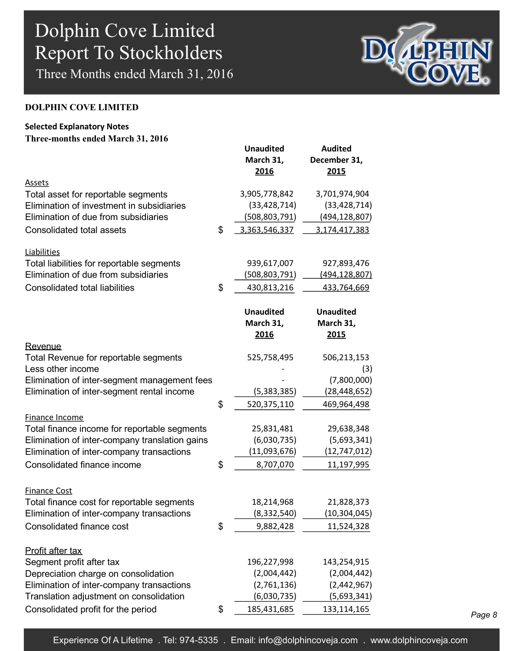Three Months ended March 31, 2016



### **DOLPHIN COVE LIMITED**

## **Selected Explanatory Notes**

| Three-months ended March 31, 2016 |  |  |  |  |
|-----------------------------------|--|--|--|--|
|-----------------------------------|--|--|--|--|

|                                                | <b>Unaudited</b><br>March 31,<br>2016 | <b>Audited</b><br>December 31,<br>2015 |
|------------------------------------------------|---------------------------------------|----------------------------------------|
| Assets                                         |                                       |                                        |
| Total asset for reportable segments            | 3,905,778,842                         | 3,701,974,904                          |
| Elimination of investment in subsidiaries      | (33, 428, 714)                        | (33, 428, 714)                         |
| Elimination of due from subsidiaries           | (508, 803, 791)                       | (494, 128, 807)                        |
| Consolidated total assets                      | \$<br>3,363,546,337                   | 3,174,417,383                          |
| Liabilities                                    |                                       |                                        |
| Total liabilities for reportable segments      | 939,617,007                           | 927,893,476                            |
| Elimination of due from subsidiaries           | (508,803,791)                         | (494, 128, 807)                        |
| <b>Consolidated total liabilities</b>          | \$<br>430,813,216                     | 433,764,669                            |
|                                                | <b>Unaudited</b><br>March 31,<br>2016 | <b>Unaudited</b><br>March 31,<br>2015  |
| Revenue                                        |                                       |                                        |
| Total Revenue for reportable segments          | 525,758,495                           | 506,213,153                            |
| Less other income                              |                                       | (3)                                    |
| Elimination of inter-segment management fees   |                                       | (7,800,000)                            |
| Elimination of inter-segment rental income     | (5,383,385)                           | (28, 448, 652)                         |
|                                                | \$<br>520,375,110                     | 469,964,498                            |
| Finance Income                                 |                                       |                                        |
| Total finance income for reportable segments   | 25,831,481                            | 29,638,348                             |
| Elimination of inter-company translation gains | (6,030,735)                           | (5,693,341)                            |
| Elimination of inter-company transactions      | (11,093,676)                          | (12, 747, 012)                         |
| Consolidated finance income                    | \$<br>8,707,070                       | 11,197,995                             |
| <b>Finance Cost</b>                            |                                       |                                        |
| Total finance cost for reportable segments     | 18,214,968                            | 21,828,373                             |
| Elimination of inter-company transactions      | (8, 332, 540)                         | (10, 304, 045)                         |
| Consolidated finance cost                      | \$<br>9,882,428                       | 11,524,328                             |
| Profit after tax                               |                                       |                                        |
| Segment profit after tax                       | 196,227,998                           | 143,254,915                            |
| Depreciation charge on consolidation           | (2,004,442)                           | (2,004,442)                            |
| Elimination of inter-company transactions      | (2,761,136)                           | (2,442,967)                            |
| Translation adjustment on consolidation        | (6,030,735)                           | (5,693,341)                            |
| Consolidated profit for the period             | \$<br>185,431,685                     | 133,114,165                            |

*Page 8*